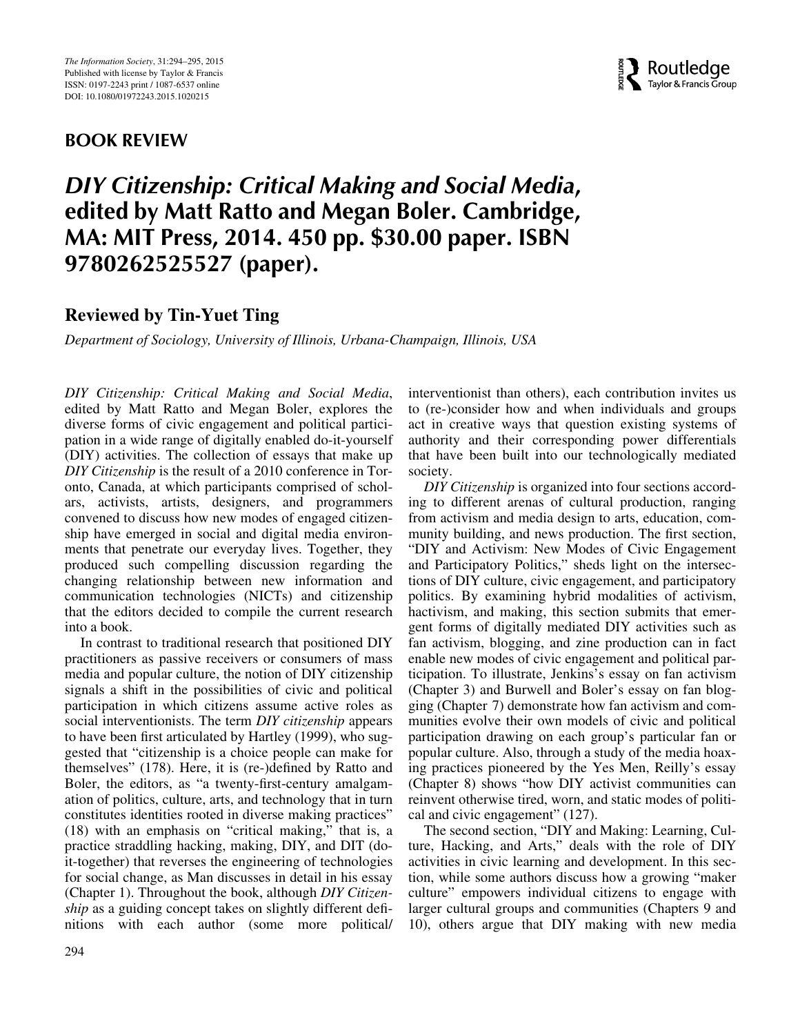## BOOK REVIEW



## DIY Citizenship: Critical Making and Social Media, edited by Matt Ratto and Megan Boler. Cambridge, MA: MIT Press, 2014. 450 pp. \$30.00 paper. ISBN 9780262525527 (paper).

## Reviewed by Tin-Yuet Ting

Department of Sociology, University of Illinois, Urbana-Champaign, Illinois, USA

DIY Citizenship: Critical Making and Social Media, edited by Matt Ratto and Megan Boler, explores the diverse forms of civic engagement and political participation in a wide range of digitally enabled do-it-yourself (DIY) activities. The collection of essays that make up DIY Citizenship is the result of a 2010 conference in Toronto, Canada, at which participants comprised of scholars, activists, artists, designers, and programmers convened to discuss how new modes of engaged citizenship have emerged in social and digital media environments that penetrate our everyday lives. Together, they produced such compelling discussion regarding the changing relationship between new information and communication technologies (NICTs) and citizenship that the editors decided to compile the current research into a book.

In contrast to traditional research that positioned DIY practitioners as passive receivers or consumers of mass media and popular culture, the notion of DIY citizenship signals a shift in the possibilities of civic and political participation in which citizens assume active roles as social interventionists. The term DIY citizenship appears to have been first articulated by Hartley (1999), who suggested that "citizenship is a choice people can make for themselves" (178). Here, it is (re-)defined by Ratto and Boler, the editors, as "a twenty-first-century amalgamation of politics, culture, arts, and technology that in turn constitutes identities rooted in diverse making practices" (18) with an emphasis on "critical making," that is, a practice straddling hacking, making, DIY, and DIT (doit-together) that reverses the engineering of technologies for social change, as Man discusses in detail in his essay (Chapter 1). Throughout the book, although DIY Citizenship as a guiding concept takes on slightly different definitions with each author (some more political/ interventionist than others), each contribution invites us to (re-)consider how and when individuals and groups act in creative ways that question existing systems of authority and their corresponding power differentials that have been built into our technologically mediated society.

DIY Citizenship is organized into four sections according to different arenas of cultural production, ranging from activism and media design to arts, education, community building, and news production. The first section, "DIY and Activism: New Modes of Civic Engagement and Participatory Politics," sheds light on the intersections of DIY culture, civic engagement, and participatory politics. By examining hybrid modalities of activism, hactivism, and making, this section submits that emergent forms of digitally mediated DIY activities such as fan activism, blogging, and zine production can in fact enable new modes of civic engagement and political participation. To illustrate, Jenkins's essay on fan activism (Chapter 3) and Burwell and Boler's essay on fan blogging (Chapter 7) demonstrate how fan activism and communities evolve their own models of civic and political participation drawing on each group's particular fan or popular culture. Also, through a study of the media hoaxing practices pioneered by the Yes Men, Reilly's essay (Chapter 8) shows "how DIY activist communities can reinvent otherwise tired, worn, and static modes of political and civic engagement" (127).

The second section, "DIY and Making: Learning, Culture, Hacking, and Arts," deals with the role of DIY activities in civic learning and development. In this section, while some authors discuss how a growing "maker culture" empowers individual citizens to engage with larger cultural groups and communities (Chapters 9 and 10), others argue that DIY making with new media